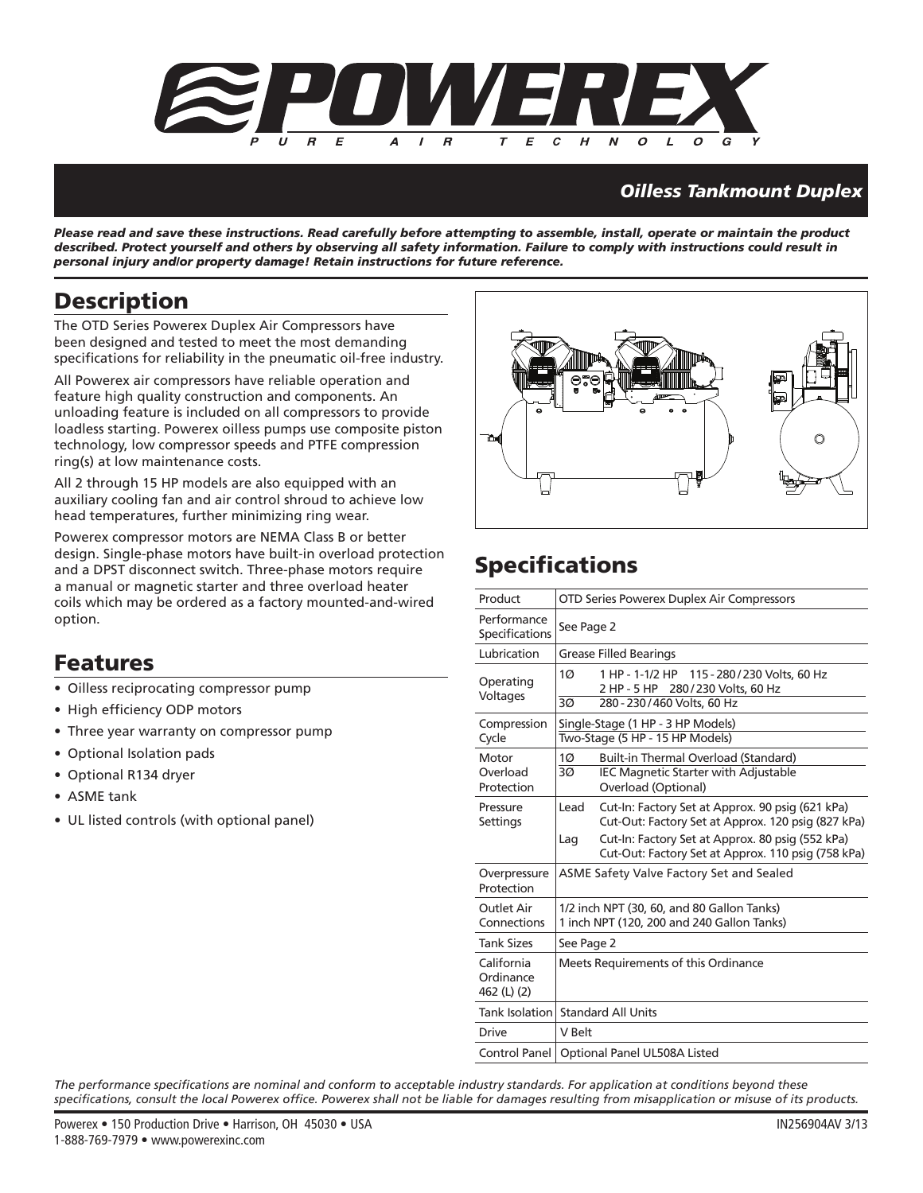

### *Oilless Tankmount Duplex*

*Please read and save these instructions. Read carefully before attempting to assemble, install, operate or maintain the product described. Protect yourself and others by observing all safety information. Failure to comply with instructions could result in personal injury and/or property damage! Retain instructions for future reference.*

### **Description**

The OTD Series Powerex Duplex Air Compressors have been designed and tested to meet the most demanding specifications for reliability in the pneumatic oil-free industry.

All Powerex air compressors have reliable operation and feature high quality construction and components. An unloading feature is included on all compressors to provide loadless starting. Powerex oilless pumps use composite piston technology, low compressor speeds and PTFE compression ring(s) at low maintenance costs.

All 2 through 15 HP models are also equipped with an auxiliary cooling fan and air control shroud to achieve low head temperatures, further minimizing ring wear.

Powerex compressor motors are NEMA Class B or better design. Single-phase motors have built-in overload protection and a DPST disconnect switch. Three-phase motors require a manual or magnetic starter and three overload heater coils which may be ordered as a factory mounted-and-wired option.

### **Features**

- Oilless reciprocating compressor pump
- High efficiency ODP motors
- Three year warranty on compressor pump
- Optional Isolation pads
- Optional R134 dryer
- ASME tank
- UL listed controls (with optional panel)



# **Specifications**

| Product                                | OTD Series Powerex Duplex Air Compressors                            |                                                                                                                                                                                                                  |  |  |
|----------------------------------------|----------------------------------------------------------------------|------------------------------------------------------------------------------------------------------------------------------------------------------------------------------------------------------------------|--|--|
| Performance<br>Specifications          | See Page 2                                                           |                                                                                                                                                                                                                  |  |  |
| Lubrication                            |                                                                      | <b>Grease Filled Bearings</b>                                                                                                                                                                                    |  |  |
| Operating<br>Voltages                  | 1 <sub>O</sub><br>30 <sup>o</sup>                                    | 1 HP - 1-1/2 HP 115 - 280 / 230 Volts, 60 Hz<br>2 HP - 5 HP 280/230 Volts, 60 Hz<br>280 - 230 / 460 Volts, 60 Hz                                                                                                 |  |  |
| Compression<br>Cycle                   | Single-Stage (1 HP - 3 HP Models)<br>Two-Stage (5 HP - 15 HP Models) |                                                                                                                                                                                                                  |  |  |
| Motor<br>Overload<br>Protection        | 10<br>ЗØ                                                             | Built-in Thermal Overload (Standard)<br><b>IEC Magnetic Starter with Adjustable</b><br>Overload (Optional)                                                                                                       |  |  |
| Pressure<br>Settings                   | Lead<br>Lag                                                          | Cut-In: Factory Set at Approx. 90 psig (621 kPa)<br>Cut-Out: Factory Set at Approx. 120 psig (827 kPa)<br>Cut-In: Factory Set at Approx. 80 psig (552 kPa)<br>Cut-Out: Factory Set at Approx. 110 psig (758 kPa) |  |  |
| Overpressure<br>Protection             |                                                                      | <b>ASME Safety Valve Factory Set and Sealed</b>                                                                                                                                                                  |  |  |
| Outlet Air<br>Connections              |                                                                      | 1/2 inch NPT (30, 60, and 80 Gallon Tanks)<br>1 inch NPT (120, 200 and 240 Gallon Tanks)                                                                                                                         |  |  |
| <b>Tank Sizes</b>                      | See Page 2                                                           |                                                                                                                                                                                                                  |  |  |
| California<br>Ordinance<br>462 (L) (2) | Meets Requirements of this Ordinance                                 |                                                                                                                                                                                                                  |  |  |
| Tank Isolation Standard All Units      |                                                                      |                                                                                                                                                                                                                  |  |  |
| Drive                                  | V Belt                                                               |                                                                                                                                                                                                                  |  |  |
| Control Panel                          | Optional Panel UL508A Listed                                         |                                                                                                                                                                                                                  |  |  |

The performance specifications are nominal and conform to acceptable industry standards. For application at conditions beyond these specifications, consult the local Powerex office. Powerex shall not be liable for damages resulting from misapplication or misuse of its products.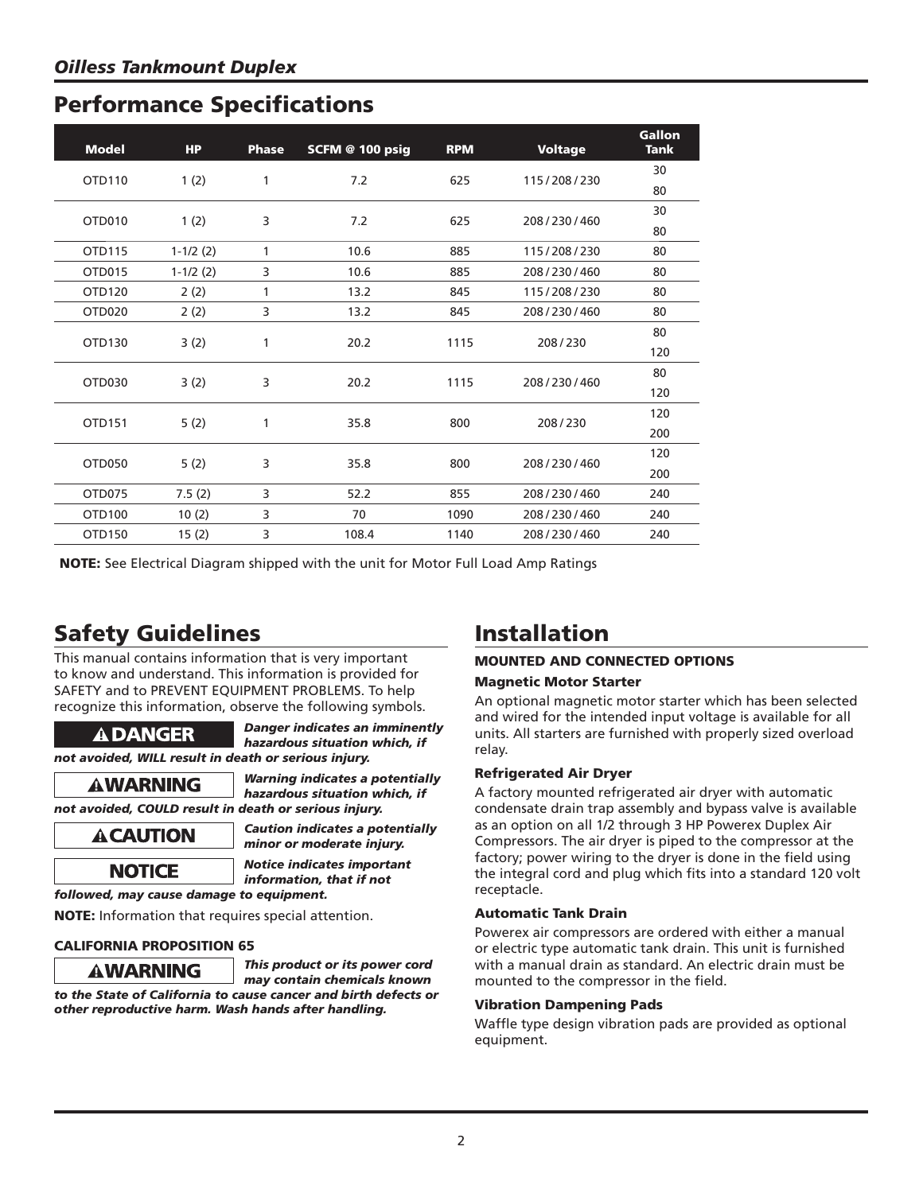| <b>Model</b>       | <b>HP</b>  | <b>Phase</b> | SCFM @ 100 psig | <b>RPM</b> | <b>Voltage</b> | Gallon<br><b>Tank</b> |
|--------------------|------------|--------------|-----------------|------------|----------------|-----------------------|
|                    |            |              |                 |            |                | 30                    |
| OTD110             | 1(2)       | 1            | 7.2             | 625        | 115/208/230    | 80                    |
| OTD010             |            | 3            |                 | 625        |                | 30                    |
|                    | 1(2)       |              | 7.2             |            | 208/230/460    | 80                    |
| OTD115             | $1-1/2(2)$ | 1            | 10.6            | 885        | 115/208/230    | 80                    |
| OTD015             | $1-1/2(2)$ | 3            | 10.6            | 885        | 208/230/460    | 80                    |
| OTD120             | 2(2)       | 1            | 13.2            | 845        | 115/208/230    | 80                    |
| OTD <sub>020</sub> | 2(2)       | 3            | 13.2            | 845        | 208/230/460    | 80                    |
| OTD130             |            | 1            | 20.2            | 1115       | 208/230        | 80                    |
|                    | 3(2)       |              |                 |            |                | 120                   |
| OTD <sub>030</sub> | 3(2)       | 3            | 20.2            | 1115       | 208/230/460    | 80                    |
|                    |            |              |                 |            |                | 120                   |
| OTD151             |            | 1            | 35.8            | 800        | 208/230        | 120                   |
|                    | 5(2)       |              |                 |            |                | 200                   |
| OTD050             | 5(2)       | 3            | 35.8            | 800        | 208/230/460    | 120                   |
|                    |            |              |                 |            |                | 200                   |
| OTD075             | 7.5(2)     | 3            | 52.2            | 855        | 208/230/460    | 240                   |
| OTD100             | 10(2)      | 3            | 70              | 1090       | 208/230/460    | 240                   |
| OTD150             | 15(2)      | 3            | 108.4           | 1140       | 208/230/460    | 240                   |

**NOTE:** See Electrical Diagram shipped with the unit for Motor Full Load Amp Ratings

# **Safety Guidelines**

This manual contains information that is very important to know and understand. This information is provided for SAFETY and to PREVENT EQUIPMENT PROBLEMS. To help recognize this information, observe the following symbols.

 *Danger indicates an imminently hazardous situation which, if not avoided, WILL result in death or serious injury.*

 *Warning indicates a potentially hazardous situation which, if not avoided, COULD result in death or serious injury.*



 *Caution indicates a potentially minor or moderate injury.*

 *Notice indicates important information, that if not* 

*followed, may cause damage to equipment.*

**NOTE:** Information that requires special attention.

#### **CALIFORNIA PROPOSITION 65**



 *This product or its power cord may contain chemicals known to the State of California to cause cancer and birth defects or other reproductive harm. Wash hands after handling.*

## **Installation**

### **MOUNTED AND CONNECTED OPTIONS**

#### **Magnetic Motor Starter**

An optional magnetic motor starter which has been selected and wired for the intended input voltage is available for all units. All starters are furnished with properly sized overload relay.

#### **Refrigerated Air Dryer**

A factory mounted refrigerated air dryer with automatic condensate drain trap assembly and bypass valve is available as an option on all 1/2 through 3 HP Powerex Duplex Air Compressors. The air dryer is piped to the compressor at the factory; power wiring to the dryer is done in the field using the integral cord and plug which fits into a standard 120 volt receptacle.

#### **Automatic Tank Drain**

Powerex air compressors are ordered with either a manual or electric type automatic tank drain. This unit is furnished with a manual drain as standard. An electric drain must be mounted to the compressor in the field.

#### **Vibration Dampening Pads**

Waffle type design vibration pads are provided as optional equipment.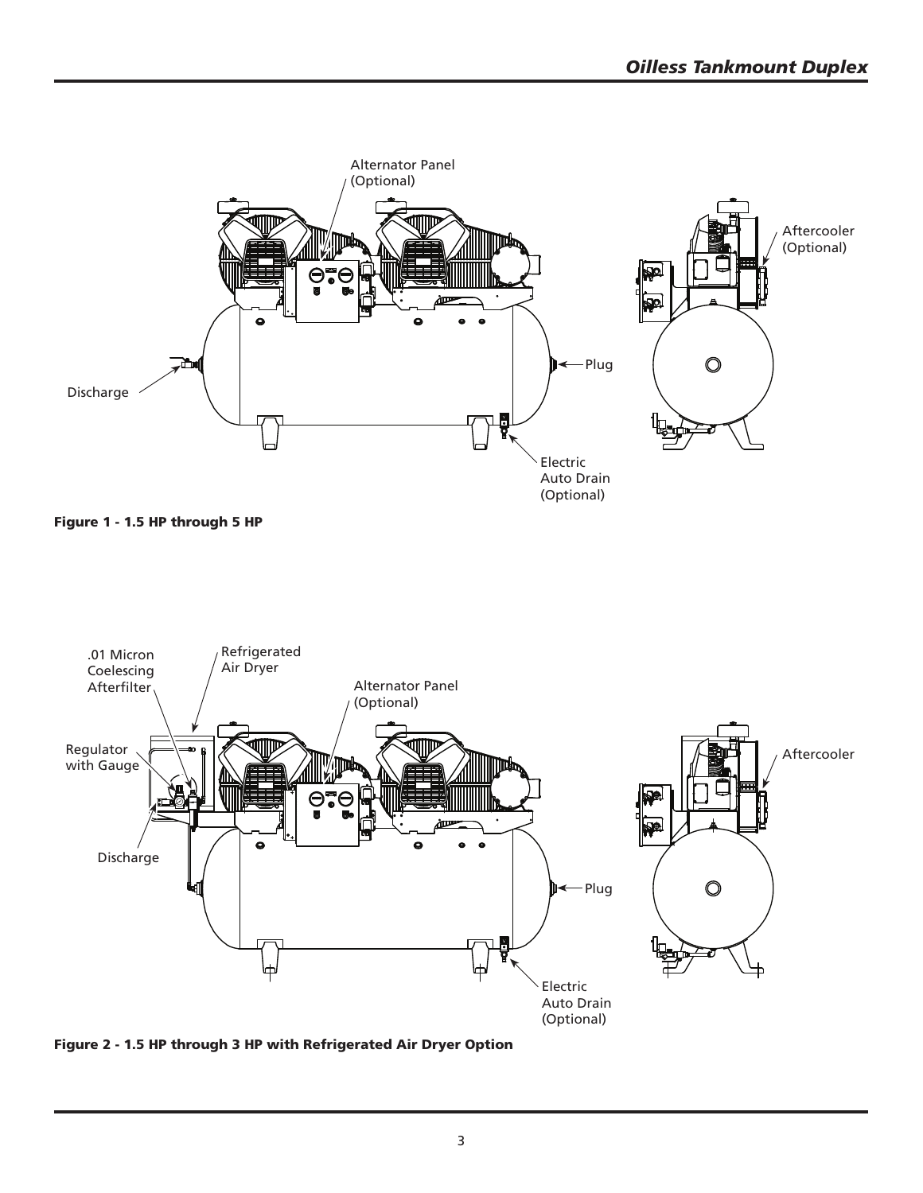





**Figure 2 - 1.5 HP through 3 HP with Refrigerated Air Dryer Option**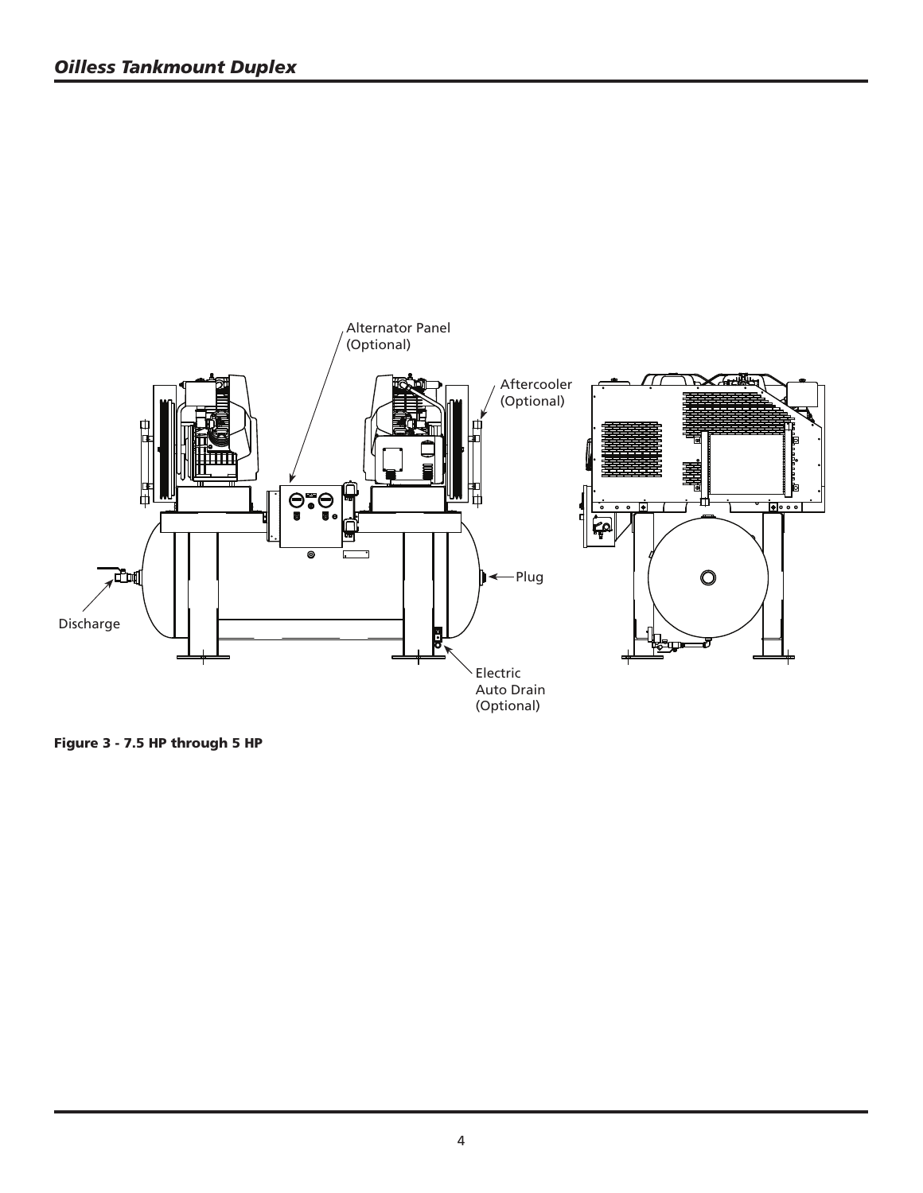

**Figure 3 - 7.5 HP through 5 HP**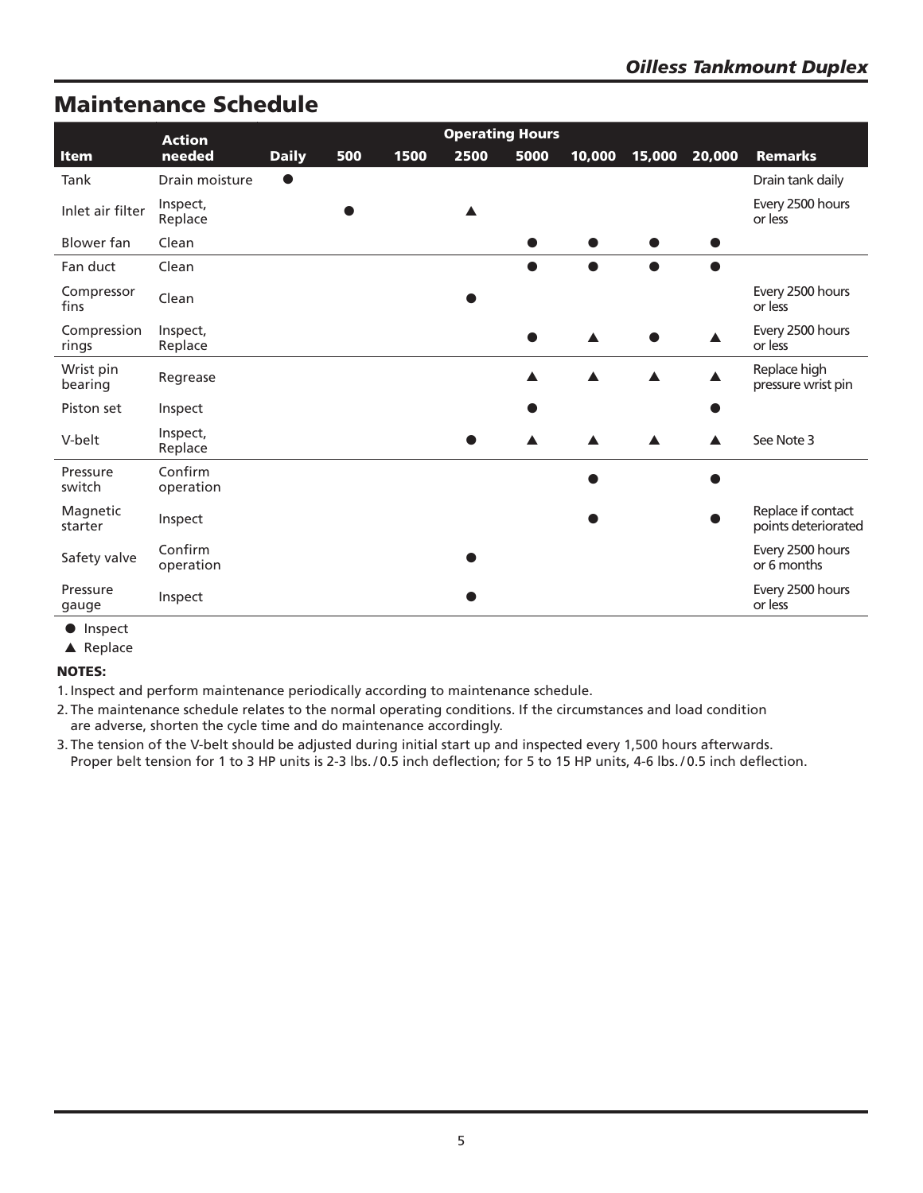### **Maintenance Schedule**

|                      | <b>Operating Hours</b><br><b>Action</b> |              |     |      |      |      |        |        |        |                                           |
|----------------------|-----------------------------------------|--------------|-----|------|------|------|--------|--------|--------|-------------------------------------------|
| Item                 | needed                                  | <b>Daily</b> | 500 | 1500 | 2500 | 5000 | 10,000 | 15,000 | 20,000 | <b>Remarks</b>                            |
| Tank                 | Drain moisture                          | ●            |     |      |      |      |        |        |        | Drain tank daily                          |
| Inlet air filter     | Inspect,<br>Replace                     |              |     |      |      |      |        |        |        | Every 2500 hours<br>or less               |
| Blower fan           | Clean                                   |              |     |      |      |      |        |        |        |                                           |
| Fan duct             | Clean                                   |              |     |      |      |      |        |        |        |                                           |
| Compressor<br>fins   | Clean                                   |              |     |      |      |      |        |        |        | Every 2500 hours<br>or less               |
| Compression<br>rings | Inspect,<br>Replace                     |              |     |      |      |      |        |        |        | Every 2500 hours<br>or less               |
| Wrist pin<br>bearing | Regrease                                |              |     |      |      |      |        |        |        | Replace high<br>pressure wrist pin        |
| Piston set           | Inspect                                 |              |     |      |      |      |        |        |        |                                           |
| V-belt               | Inspect,<br>Replace                     |              |     |      |      |      |        |        |        | See Note 3                                |
| Pressure<br>switch   | Confirm<br>operation                    |              |     |      |      |      |        |        |        |                                           |
| Magnetic<br>starter  | Inspect                                 |              |     |      |      |      |        |        |        | Replace if contact<br>points deteriorated |
| Safety valve         | Confirm<br>operation                    |              |     |      |      |      |        |        |        | Every 2500 hours<br>or 6 months           |
| Pressure<br>gauge    | Inspect                                 |              |     |      |      |      |        |        |        | Every 2500 hours<br>or less               |

● Inspect

▲ Replace

**NOTES:**

1. Inspect and perform maintenance periodically according to maintenance schedule.

2. The maintenance schedule relates to the normal operating conditions. If the circumstances and load condition are adverse, shorten the cycle time and do maintenance accordingly.

3. The tension of the V-belt should be adjusted during initial start up and inspected every 1,500 hours afterwards. Proper belt tension for 1 to 3 HP units is 2-3 lbs. / 0.5 inch deflection; for 5 to 15 HP units, 4-6 lbs. / 0.5 inch deflection.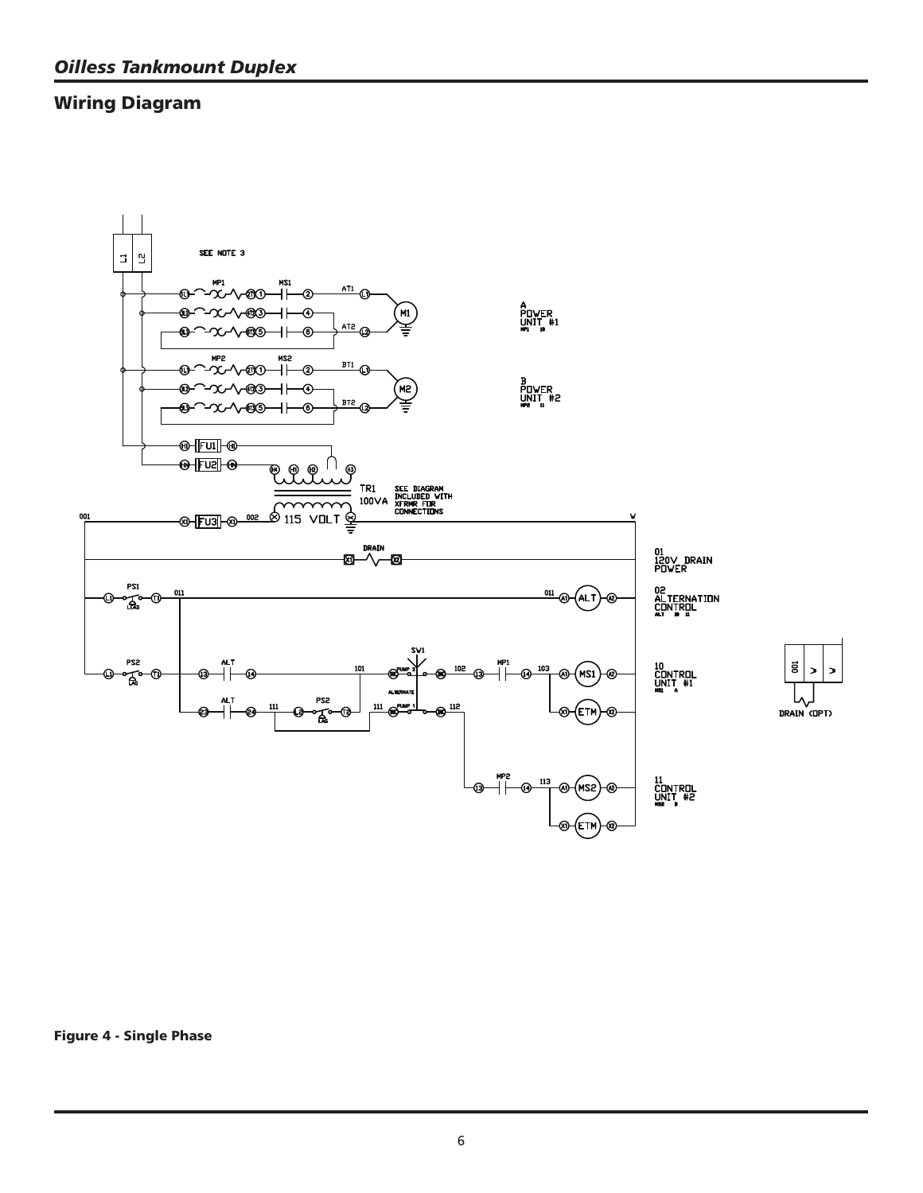### **Wiring Diagram**





**Figure 4 - Single Phase**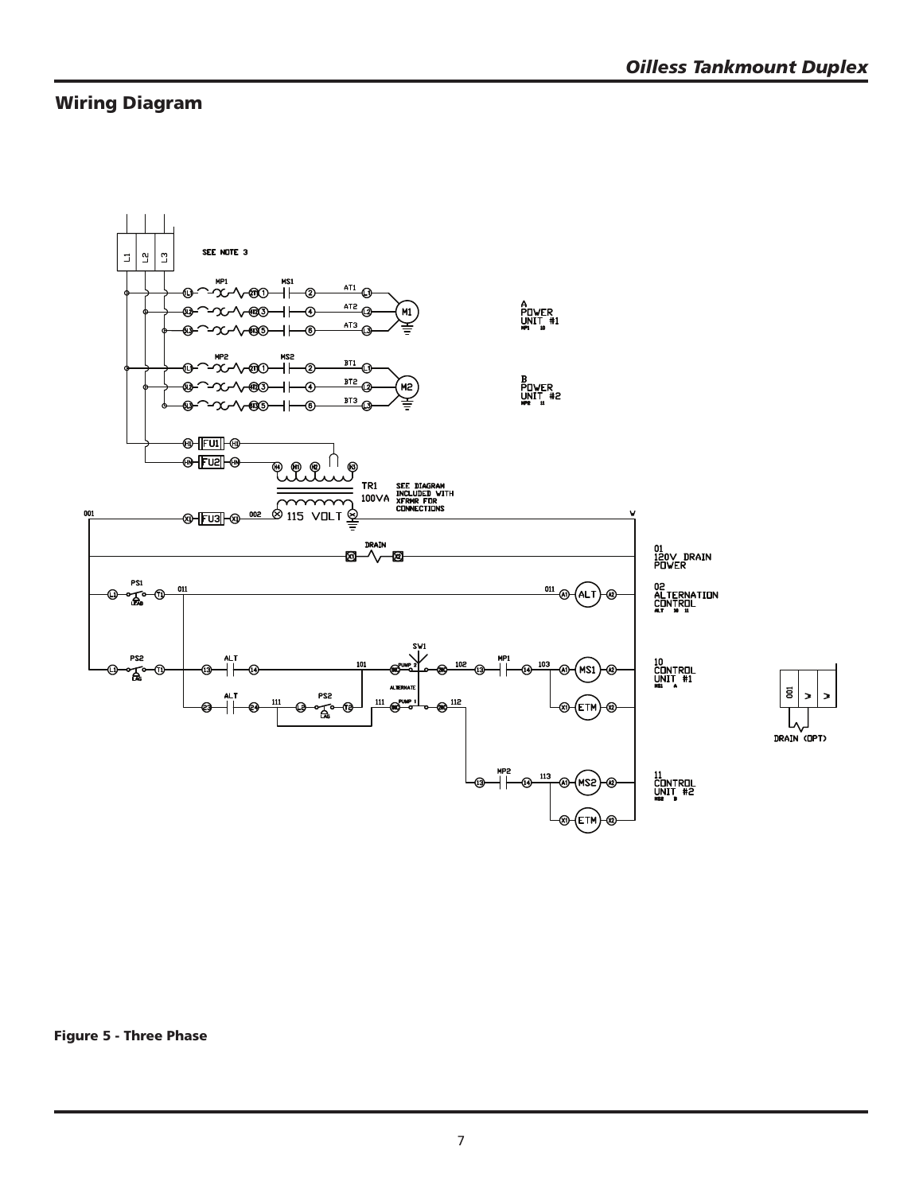### **Wiring Diagram**



 $\overline{\mathbf{g}}$ DRAIN (OPT)

**Figure 5 - Three Phase**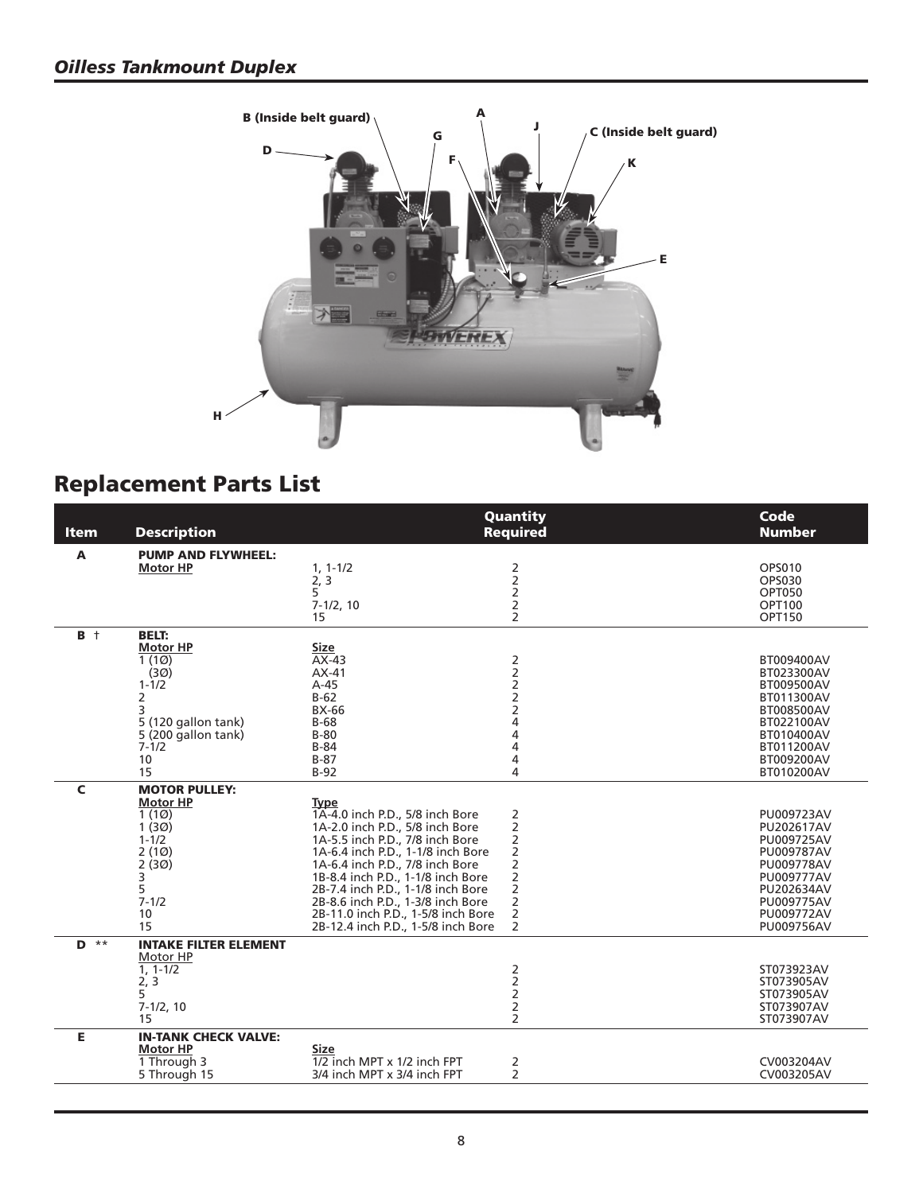

# **Replacement Parts List**

| A<br><b>PUMP AND FLYWHEEL:</b><br>$\begin{array}{c} 2 \\ 2 \\ 2 \end{array}$<br><b>OPS010</b><br>$1, 1 - 1/2$<br><b>Motor HP</b><br>2, 3<br><b>OPS030</b><br>5<br><b>OPT050</b><br>$\overline{2}$<br>$7-1/2, 10$<br><b>OPT100</b><br>$\overline{2}$<br><b>OPT150</b><br>15<br>$B +$<br><b>BELT:</b><br><b>Motor HP</b><br><b>Size</b><br>2222444<br>1(10)<br>$AX-43$<br>BT009400AV<br>(3 <sub>Ø</sub> )<br>$AX-41$<br>BT023300AV<br>$A-45$<br>$1 - 1/2$<br>BT009500AV<br>2<br>$B-62$<br>BT011300AV<br>3<br><b>BX-66</b><br>BT008500AV<br>5 (120 gallon tank)<br>$B-68$<br>BT022100AV<br>$B-80$<br>5 (200 gallon tank)<br>BT010400AV<br>$7 - 1/2$<br>$B-84$<br>BT011200AV<br>4<br>10<br>$B-87$<br>BT009200AV<br>4<br>15<br>$B-92$<br>BT010200AV<br>$\mathsf{C}$<br><b>MOTOR PULLEY:</b><br><b>Motor HP</b><br><b>Type</b><br>1(10)<br>1A-4.0 inch P.D., 5/8 inch Bore<br>2<br>PU009723AV<br>$\begin{array}{c}\n2 \\ 2 \\ 2 \\ 2\n\end{array}$<br>1(30)<br>PU202617AV<br>1A-2.0 inch P.D., 5/8 inch Bore<br>$1 - 1/2$<br>1A-5.5 inch P.D., 7/8 inch Bore<br>PU009725AV<br>1A-6.4 inch P.D., 1-1/8 inch Bore<br>2(10)<br>PU009787AV<br>2(30)<br>1A-6.4 inch P.D., 7/8 inch Bore<br>PU009778AV<br>$\mathsf 2$<br>1B-8.4 inch P.D., 1-1/8 inch Bore<br>3<br>PU009777AV<br>5<br>2B-7.4 inch P.D., 1-1/8 inch Bore<br>PU202634AV<br>$\mathsf{2}$<br>$7 - 1/2$<br>2B-8.6 inch P.D., 1-3/8 inch Bore<br>PU009775AV<br>$\mathsf{2}\,$<br>2B-11.0 inch P.D., 1-5/8 inch Bore<br>10<br>PU009772AV<br>$\overline{2}$<br>15<br>2B-12.4 inch P.D., 1-5/8 inch Bore<br>PU009756AV<br>$***$<br><b>INTAKE FILTER ELEMENT</b><br>D<br>Motor HP<br>$\begin{array}{c} 2 \\ 2 \end{array}$<br>$1, 1 - 1/2$<br>ST073923AV<br>2, 3<br>ST073905AV<br>$\overline{c}$<br>5<br>ST073905AV<br>2<br>$7-1/2, 10$<br>ST073907AV<br>$\overline{2}$<br>ST073907AV<br>15<br>E<br><b>IN-TANK CHECK VALVE:</b><br><b>Size</b><br><b>Motor HP</b><br>1 Through 3<br>1/2 inch MPT x 1/2 inch FPT<br>2<br>CV003204AV | <b>Item</b> | <b>Description</b> | Quantity<br><b>Required</b> | Code<br><b>Number</b> |
|------------------------------------------------------------------------------------------------------------------------------------------------------------------------------------------------------------------------------------------------------------------------------------------------------------------------------------------------------------------------------------------------------------------------------------------------------------------------------------------------------------------------------------------------------------------------------------------------------------------------------------------------------------------------------------------------------------------------------------------------------------------------------------------------------------------------------------------------------------------------------------------------------------------------------------------------------------------------------------------------------------------------------------------------------------------------------------------------------------------------------------------------------------------------------------------------------------------------------------------------------------------------------------------------------------------------------------------------------------------------------------------------------------------------------------------------------------------------------------------------------------------------------------------------------------------------------------------------------------------------------------------------------------------------------------------------------------------------------------------------------------------------------------------------------------------------------------------------------------------------------------------------------------------------------------------------------------------------------|-------------|--------------------|-----------------------------|-----------------------|
|                                                                                                                                                                                                                                                                                                                                                                                                                                                                                                                                                                                                                                                                                                                                                                                                                                                                                                                                                                                                                                                                                                                                                                                                                                                                                                                                                                                                                                                                                                                                                                                                                                                                                                                                                                                                                                                                                                                                                                              |             |                    |                             |                       |
|                                                                                                                                                                                                                                                                                                                                                                                                                                                                                                                                                                                                                                                                                                                                                                                                                                                                                                                                                                                                                                                                                                                                                                                                                                                                                                                                                                                                                                                                                                                                                                                                                                                                                                                                                                                                                                                                                                                                                                              |             |                    |                             |                       |
|                                                                                                                                                                                                                                                                                                                                                                                                                                                                                                                                                                                                                                                                                                                                                                                                                                                                                                                                                                                                                                                                                                                                                                                                                                                                                                                                                                                                                                                                                                                                                                                                                                                                                                                                                                                                                                                                                                                                                                              |             |                    |                             |                       |
|                                                                                                                                                                                                                                                                                                                                                                                                                                                                                                                                                                                                                                                                                                                                                                                                                                                                                                                                                                                                                                                                                                                                                                                                                                                                                                                                                                                                                                                                                                                                                                                                                                                                                                                                                                                                                                                                                                                                                                              |             |                    |                             |                       |
|                                                                                                                                                                                                                                                                                                                                                                                                                                                                                                                                                                                                                                                                                                                                                                                                                                                                                                                                                                                                                                                                                                                                                                                                                                                                                                                                                                                                                                                                                                                                                                                                                                                                                                                                                                                                                                                                                                                                                                              |             |                    |                             |                       |
|                                                                                                                                                                                                                                                                                                                                                                                                                                                                                                                                                                                                                                                                                                                                                                                                                                                                                                                                                                                                                                                                                                                                                                                                                                                                                                                                                                                                                                                                                                                                                                                                                                                                                                                                                                                                                                                                                                                                                                              |             |                    |                             |                       |
|                                                                                                                                                                                                                                                                                                                                                                                                                                                                                                                                                                                                                                                                                                                                                                                                                                                                                                                                                                                                                                                                                                                                                                                                                                                                                                                                                                                                                                                                                                                                                                                                                                                                                                                                                                                                                                                                                                                                                                              |             |                    |                             |                       |
|                                                                                                                                                                                                                                                                                                                                                                                                                                                                                                                                                                                                                                                                                                                                                                                                                                                                                                                                                                                                                                                                                                                                                                                                                                                                                                                                                                                                                                                                                                                                                                                                                                                                                                                                                                                                                                                                                                                                                                              |             |                    |                             |                       |
|                                                                                                                                                                                                                                                                                                                                                                                                                                                                                                                                                                                                                                                                                                                                                                                                                                                                                                                                                                                                                                                                                                                                                                                                                                                                                                                                                                                                                                                                                                                                                                                                                                                                                                                                                                                                                                                                                                                                                                              |             |                    |                             |                       |
|                                                                                                                                                                                                                                                                                                                                                                                                                                                                                                                                                                                                                                                                                                                                                                                                                                                                                                                                                                                                                                                                                                                                                                                                                                                                                                                                                                                                                                                                                                                                                                                                                                                                                                                                                                                                                                                                                                                                                                              |             |                    |                             |                       |
|                                                                                                                                                                                                                                                                                                                                                                                                                                                                                                                                                                                                                                                                                                                                                                                                                                                                                                                                                                                                                                                                                                                                                                                                                                                                                                                                                                                                                                                                                                                                                                                                                                                                                                                                                                                                                                                                                                                                                                              |             |                    |                             |                       |
|                                                                                                                                                                                                                                                                                                                                                                                                                                                                                                                                                                                                                                                                                                                                                                                                                                                                                                                                                                                                                                                                                                                                                                                                                                                                                                                                                                                                                                                                                                                                                                                                                                                                                                                                                                                                                                                                                                                                                                              |             |                    |                             |                       |
|                                                                                                                                                                                                                                                                                                                                                                                                                                                                                                                                                                                                                                                                                                                                                                                                                                                                                                                                                                                                                                                                                                                                                                                                                                                                                                                                                                                                                                                                                                                                                                                                                                                                                                                                                                                                                                                                                                                                                                              |             |                    |                             |                       |
|                                                                                                                                                                                                                                                                                                                                                                                                                                                                                                                                                                                                                                                                                                                                                                                                                                                                                                                                                                                                                                                                                                                                                                                                                                                                                                                                                                                                                                                                                                                                                                                                                                                                                                                                                                                                                                                                                                                                                                              |             |                    |                             |                       |
|                                                                                                                                                                                                                                                                                                                                                                                                                                                                                                                                                                                                                                                                                                                                                                                                                                                                                                                                                                                                                                                                                                                                                                                                                                                                                                                                                                                                                                                                                                                                                                                                                                                                                                                                                                                                                                                                                                                                                                              |             |                    |                             |                       |
|                                                                                                                                                                                                                                                                                                                                                                                                                                                                                                                                                                                                                                                                                                                                                                                                                                                                                                                                                                                                                                                                                                                                                                                                                                                                                                                                                                                                                                                                                                                                                                                                                                                                                                                                                                                                                                                                                                                                                                              |             |                    |                             |                       |
|                                                                                                                                                                                                                                                                                                                                                                                                                                                                                                                                                                                                                                                                                                                                                                                                                                                                                                                                                                                                                                                                                                                                                                                                                                                                                                                                                                                                                                                                                                                                                                                                                                                                                                                                                                                                                                                                                                                                                                              |             |                    |                             |                       |
|                                                                                                                                                                                                                                                                                                                                                                                                                                                                                                                                                                                                                                                                                                                                                                                                                                                                                                                                                                                                                                                                                                                                                                                                                                                                                                                                                                                                                                                                                                                                                                                                                                                                                                                                                                                                                                                                                                                                                                              |             |                    |                             |                       |
|                                                                                                                                                                                                                                                                                                                                                                                                                                                                                                                                                                                                                                                                                                                                                                                                                                                                                                                                                                                                                                                                                                                                                                                                                                                                                                                                                                                                                                                                                                                                                                                                                                                                                                                                                                                                                                                                                                                                                                              |             |                    |                             |                       |
|                                                                                                                                                                                                                                                                                                                                                                                                                                                                                                                                                                                                                                                                                                                                                                                                                                                                                                                                                                                                                                                                                                                                                                                                                                                                                                                                                                                                                                                                                                                                                                                                                                                                                                                                                                                                                                                                                                                                                                              |             |                    |                             |                       |
|                                                                                                                                                                                                                                                                                                                                                                                                                                                                                                                                                                                                                                                                                                                                                                                                                                                                                                                                                                                                                                                                                                                                                                                                                                                                                                                                                                                                                                                                                                                                                                                                                                                                                                                                                                                                                                                                                                                                                                              |             |                    |                             |                       |
|                                                                                                                                                                                                                                                                                                                                                                                                                                                                                                                                                                                                                                                                                                                                                                                                                                                                                                                                                                                                                                                                                                                                                                                                                                                                                                                                                                                                                                                                                                                                                                                                                                                                                                                                                                                                                                                                                                                                                                              |             |                    |                             |                       |
|                                                                                                                                                                                                                                                                                                                                                                                                                                                                                                                                                                                                                                                                                                                                                                                                                                                                                                                                                                                                                                                                                                                                                                                                                                                                                                                                                                                                                                                                                                                                                                                                                                                                                                                                                                                                                                                                                                                                                                              |             |                    |                             |                       |
|                                                                                                                                                                                                                                                                                                                                                                                                                                                                                                                                                                                                                                                                                                                                                                                                                                                                                                                                                                                                                                                                                                                                                                                                                                                                                                                                                                                                                                                                                                                                                                                                                                                                                                                                                                                                                                                                                                                                                                              |             |                    |                             |                       |
|                                                                                                                                                                                                                                                                                                                                                                                                                                                                                                                                                                                                                                                                                                                                                                                                                                                                                                                                                                                                                                                                                                                                                                                                                                                                                                                                                                                                                                                                                                                                                                                                                                                                                                                                                                                                                                                                                                                                                                              |             |                    |                             |                       |
|                                                                                                                                                                                                                                                                                                                                                                                                                                                                                                                                                                                                                                                                                                                                                                                                                                                                                                                                                                                                                                                                                                                                                                                                                                                                                                                                                                                                                                                                                                                                                                                                                                                                                                                                                                                                                                                                                                                                                                              |             |                    |                             |                       |
|                                                                                                                                                                                                                                                                                                                                                                                                                                                                                                                                                                                                                                                                                                                                                                                                                                                                                                                                                                                                                                                                                                                                                                                                                                                                                                                                                                                                                                                                                                                                                                                                                                                                                                                                                                                                                                                                                                                                                                              |             |                    |                             |                       |
|                                                                                                                                                                                                                                                                                                                                                                                                                                                                                                                                                                                                                                                                                                                                                                                                                                                                                                                                                                                                                                                                                                                                                                                                                                                                                                                                                                                                                                                                                                                                                                                                                                                                                                                                                                                                                                                                                                                                                                              |             |                    |                             |                       |
|                                                                                                                                                                                                                                                                                                                                                                                                                                                                                                                                                                                                                                                                                                                                                                                                                                                                                                                                                                                                                                                                                                                                                                                                                                                                                                                                                                                                                                                                                                                                                                                                                                                                                                                                                                                                                                                                                                                                                                              |             |                    |                             |                       |
|                                                                                                                                                                                                                                                                                                                                                                                                                                                                                                                                                                                                                                                                                                                                                                                                                                                                                                                                                                                                                                                                                                                                                                                                                                                                                                                                                                                                                                                                                                                                                                                                                                                                                                                                                                                                                                                                                                                                                                              |             |                    |                             |                       |
|                                                                                                                                                                                                                                                                                                                                                                                                                                                                                                                                                                                                                                                                                                                                                                                                                                                                                                                                                                                                                                                                                                                                                                                                                                                                                                                                                                                                                                                                                                                                                                                                                                                                                                                                                                                                                                                                                                                                                                              |             |                    |                             |                       |
|                                                                                                                                                                                                                                                                                                                                                                                                                                                                                                                                                                                                                                                                                                                                                                                                                                                                                                                                                                                                                                                                                                                                                                                                                                                                                                                                                                                                                                                                                                                                                                                                                                                                                                                                                                                                                                                                                                                                                                              |             |                    |                             |                       |
|                                                                                                                                                                                                                                                                                                                                                                                                                                                                                                                                                                                                                                                                                                                                                                                                                                                                                                                                                                                                                                                                                                                                                                                                                                                                                                                                                                                                                                                                                                                                                                                                                                                                                                                                                                                                                                                                                                                                                                              |             |                    |                             |                       |
|                                                                                                                                                                                                                                                                                                                                                                                                                                                                                                                                                                                                                                                                                                                                                                                                                                                                                                                                                                                                                                                                                                                                                                                                                                                                                                                                                                                                                                                                                                                                                                                                                                                                                                                                                                                                                                                                                                                                                                              |             |                    |                             |                       |
|                                                                                                                                                                                                                                                                                                                                                                                                                                                                                                                                                                                                                                                                                                                                                                                                                                                                                                                                                                                                                                                                                                                                                                                                                                                                                                                                                                                                                                                                                                                                                                                                                                                                                                                                                                                                                                                                                                                                                                              |             |                    |                             |                       |
|                                                                                                                                                                                                                                                                                                                                                                                                                                                                                                                                                                                                                                                                                                                                                                                                                                                                                                                                                                                                                                                                                                                                                                                                                                                                                                                                                                                                                                                                                                                                                                                                                                                                                                                                                                                                                                                                                                                                                                              |             |                    |                             |                       |
|                                                                                                                                                                                                                                                                                                                                                                                                                                                                                                                                                                                                                                                                                                                                                                                                                                                                                                                                                                                                                                                                                                                                                                                                                                                                                                                                                                                                                                                                                                                                                                                                                                                                                                                                                                                                                                                                                                                                                                              |             |                    |                             |                       |
|                                                                                                                                                                                                                                                                                                                                                                                                                                                                                                                                                                                                                                                                                                                                                                                                                                                                                                                                                                                                                                                                                                                                                                                                                                                                                                                                                                                                                                                                                                                                                                                                                                                                                                                                                                                                                                                                                                                                                                              |             |                    |                             |                       |
| $\overline{2}$<br>3/4 inch MPT x 3/4 inch FPT<br>CV003205AV<br>5 Through 15                                                                                                                                                                                                                                                                                                                                                                                                                                                                                                                                                                                                                                                                                                                                                                                                                                                                                                                                                                                                                                                                                                                                                                                                                                                                                                                                                                                                                                                                                                                                                                                                                                                                                                                                                                                                                                                                                                  |             |                    |                             |                       |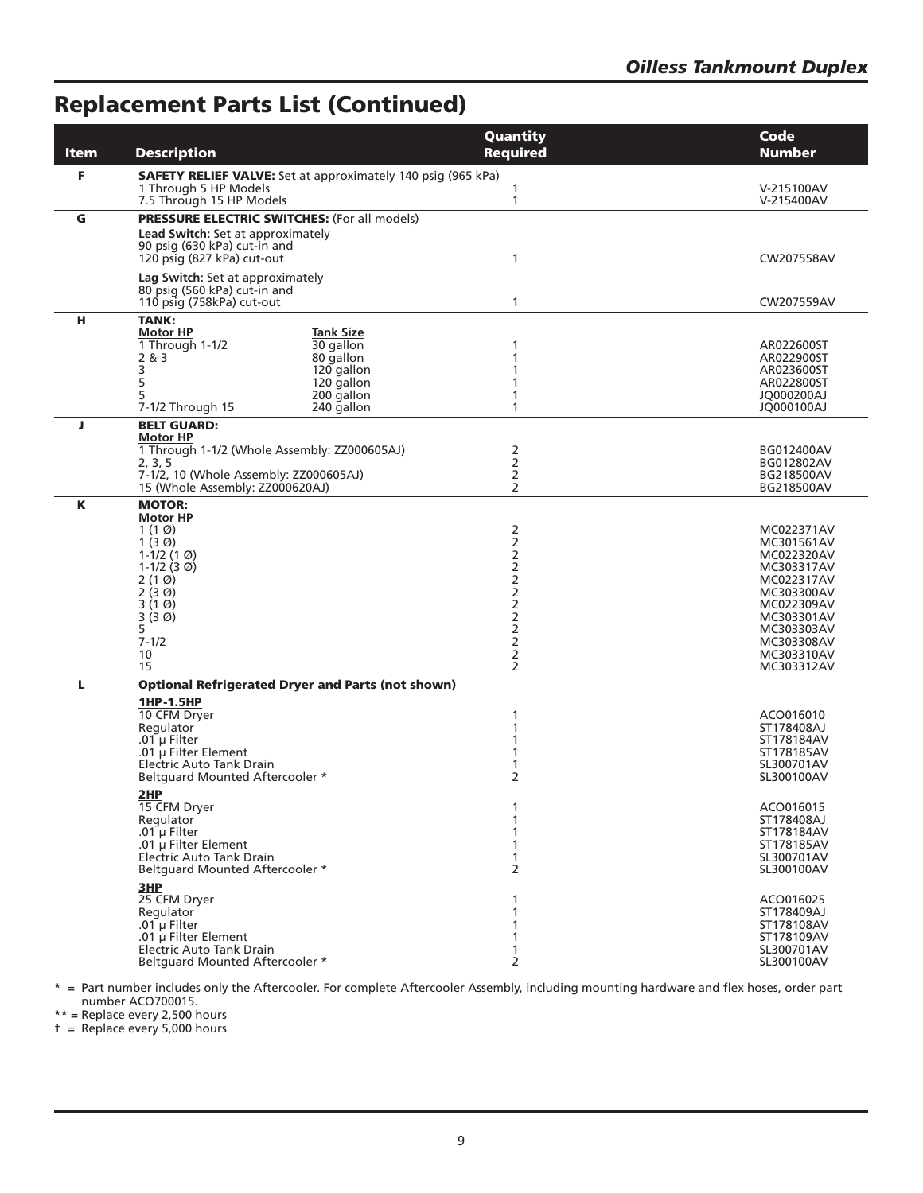# **Replacement Parts List (Continued)**

| <b>Item</b> | <b>Description</b>                                                                                                                                                                                                                                                                                                                                                                                                                                                                                                 | Quantity<br><b>Required</b>                                                                  | Code<br><b>Number</b>                                                                                                                                                                                                                                 |
|-------------|--------------------------------------------------------------------------------------------------------------------------------------------------------------------------------------------------------------------------------------------------------------------------------------------------------------------------------------------------------------------------------------------------------------------------------------------------------------------------------------------------------------------|----------------------------------------------------------------------------------------------|-------------------------------------------------------------------------------------------------------------------------------------------------------------------------------------------------------------------------------------------------------|
| F           | <b>SAFETY RELIEF VALVE:</b> Set at approximately 140 psig (965 kPa)<br>1 Through 5 HP Models<br>7.5 Through 15 HP Models                                                                                                                                                                                                                                                                                                                                                                                           | 1<br>1                                                                                       | V-215100AV<br>V-215400AV                                                                                                                                                                                                                              |
| G           | <b>PRESSURE ELECTRIC SWITCHES: (For all models)</b><br>Lead Switch: Set at approximately<br>90 psig (630 kPa) cut-in and<br>120 psig (827 kPa) cut-out                                                                                                                                                                                                                                                                                                                                                             | 1                                                                                            | CW207558AV                                                                                                                                                                                                                                            |
|             | Lag Switch: Set at approximately<br>80 psig (560 kPa) cut-in and<br>110 psig (758kPa) cut-out                                                                                                                                                                                                                                                                                                                                                                                                                      | 1                                                                                            | CW207559AV                                                                                                                                                                                                                                            |
| н           | <b>TANK:</b><br><b>Tank Size</b><br><b>Motor HP</b><br>1 Through 1-1/2<br>30 gallon<br>2 & 3<br>80 gallon<br>3<br>120 gallon<br>5<br>120 gallon<br>5<br>200 gallon<br>240 gallon<br>7-1/2 Through 15                                                                                                                                                                                                                                                                                                               | 1<br>1<br>1<br>1<br>1<br>1                                                                   | AR022600ST<br>AR022900ST<br>AR023600ST<br>AR022800ST<br>JQ000200AJ<br><b>JQ000100AJ</b>                                                                                                                                                               |
| J           | <b>BELT GUARD:</b><br><b>Motor HP</b><br>1 Through 1-1/2 (Whole Assembly: ZZ000605AJ)<br>2, 3, 5<br>7-1/2, 10 (Whole Assembly: ZZ000605AJ)<br>15 (Whole Assembly: ZZ000620AJ)                                                                                                                                                                                                                                                                                                                                      | 2<br>2<br>$\overline{c}$<br>2                                                                | BG012400AV<br>BG012802AV<br>BG218500AV<br>BG218500AV                                                                                                                                                                                                  |
| Κ           | <b>MOTOR:</b><br><b>Motor HP</b><br>1 $(1 \, \emptyset)$<br>1 $(3 \, \emptyset)$<br>1-1/2 $(1 \, \textcircled{0})$<br>1-1/2 $(3 \, \textcircled{0})$<br>$2(1 \emptyset)$<br>2 (3 Ø)<br>3(10)<br>3 (3 Ø)<br>5<br>$7 - 1/2$<br>10<br>15                                                                                                                                                                                                                                                                              | 2<br>2<br>2<br>2<br>2<br>2<br>2<br>2<br>2<br>2<br>2<br>2                                     | MC022371AV<br>MC301561AV<br>MC022320AV<br>MC303317AV<br>MC022317AV<br>MC303300AV<br>MC022309AV<br>MC303301AV<br>MC303303AV<br>MC303308AV<br>MC303310AV<br>MC303312AV                                                                                  |
| ш           | <b>Optional Refrigerated Dryer and Parts (not shown)</b><br>1HP-1.5HP<br>10 CFM Dryer<br>Regulator<br>.01 $\mu$ Filter<br>.01 µ Filter Element<br>Electric Auto Tank Drain<br><b>Beltquard Mounted Aftercooler *</b><br>2HP<br>15 CFM Dryer<br>Regulator<br>.01 $\mu$ Filter<br>.01 µ Filter Element<br>Electric Auto Tank Drain<br>Beltquard Mounted Aftercooler *<br>3HP<br>25 CFM Dryer<br>Regulator<br>.01 $\mu$ Filter<br>.01 µ Filter Element<br>Electric Auto Tank Drain<br>Beltquard Mounted Aftercooler * | 1<br>1<br>1<br>1<br>2<br>1<br>1<br>1<br>1<br>$\mathbf{1}$<br>2<br>1<br>1<br>1<br>1<br>1<br>2 | ACO016010<br>ST178408AJ<br>ST178184AV<br>ST178185AV<br>SL300701AV<br>SL300100AV<br>ACO016015<br>ST178408AJ<br>ST178184AV<br>ST178185AV<br>SL300701AV<br>SL300100AV<br>ACO016025<br>ST178409AJ<br>ST178108AV<br>ST178109AV<br>SL300701AV<br>SL300100AV |

\* = Part number includes only the Aftercooler. For complete Aftercooler Assembly, including mounting hardware and flex hoses, order part number ACO700015.

\*\* = Replace every 2,500 hours

† = Replace every 5,000 hours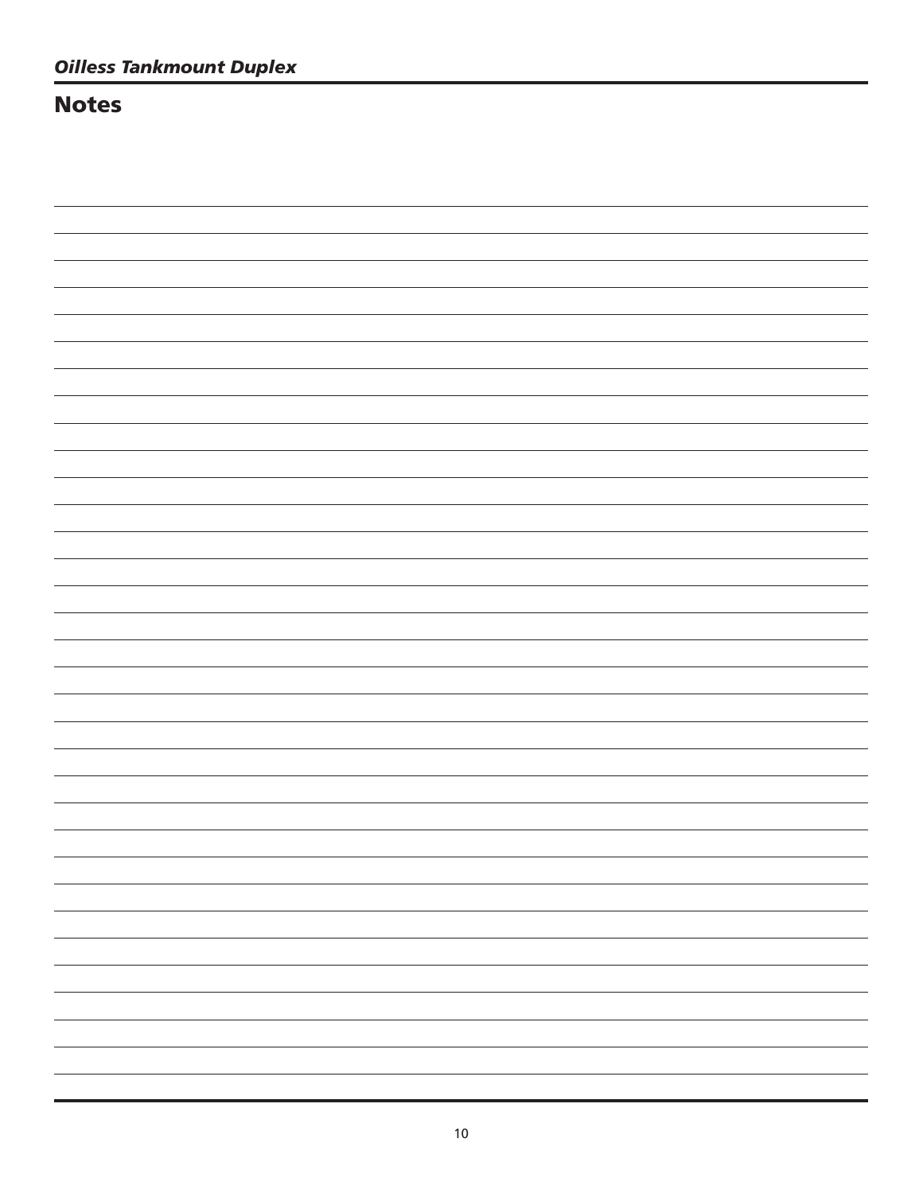### **Notes**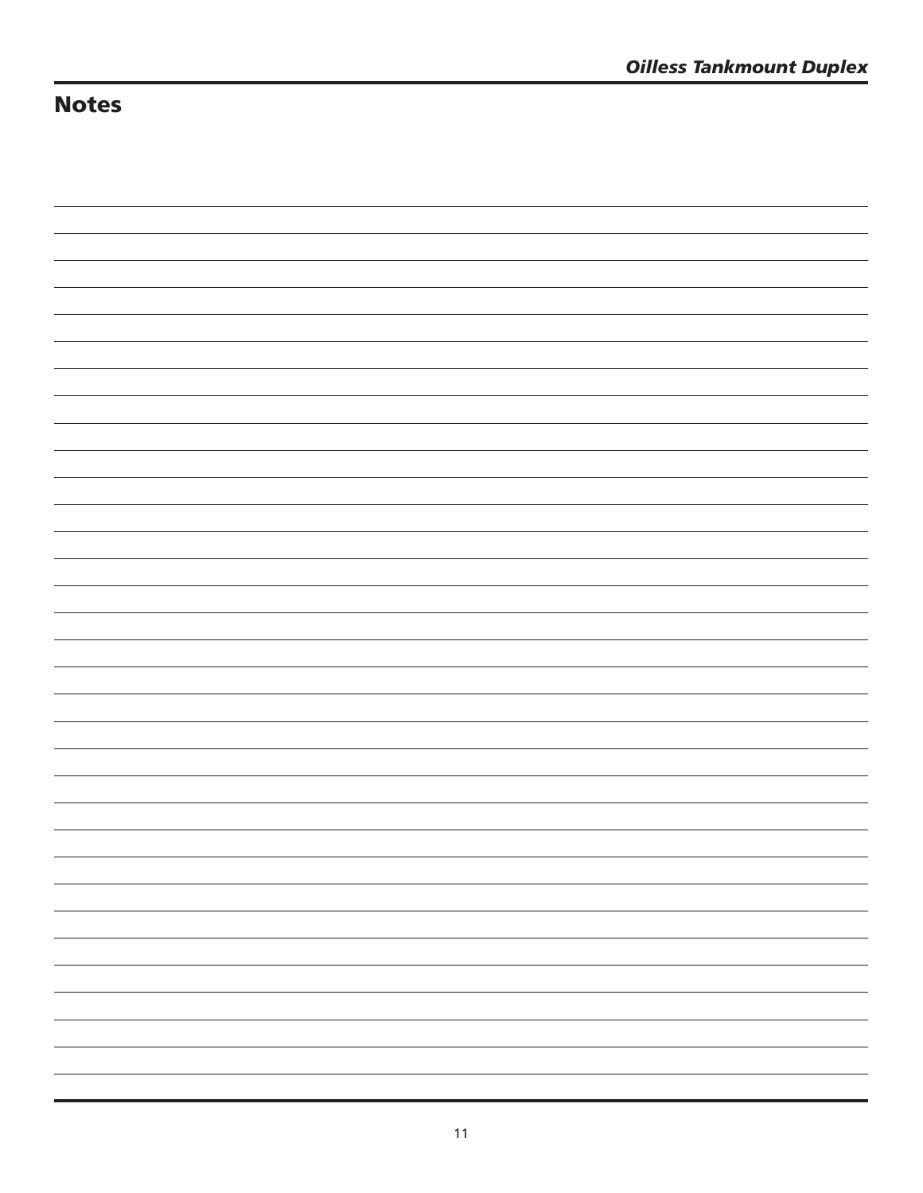# **Notes**